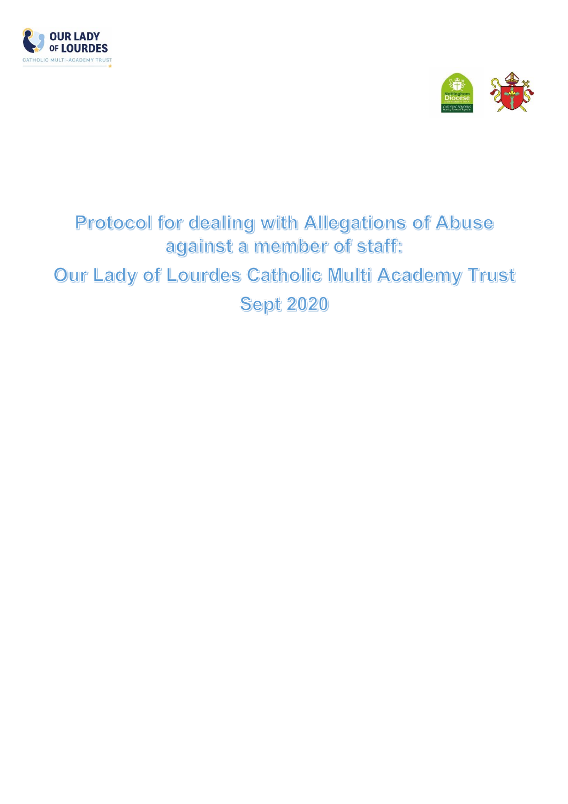



# Protocol for dealing with Allegations of Abuse against a member of staff. Our Lady of Lourdes Catholic Multi Academy Trust **Sept 2020**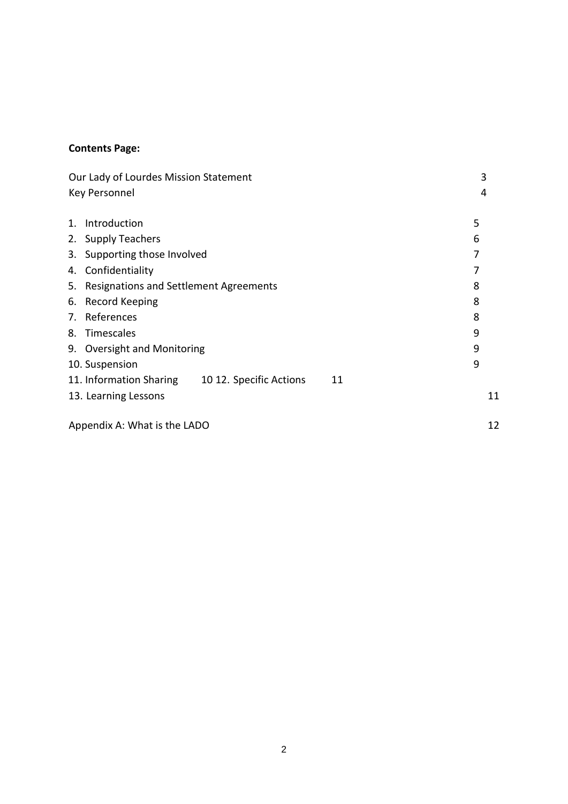# **Contents Page:**

| Our Lady of Lourdes Mission Statement |                                                          |    |
|---------------------------------------|----------------------------------------------------------|----|
| Key Personnel                         |                                                          |    |
|                                       |                                                          |    |
| $\mathbf{1}$ .                        | Introduction                                             | 5  |
|                                       | 2. Supply Teachers                                       | 6  |
| 3.                                    | Supporting those Involved                                | 7  |
| 4.                                    | Confidentiality                                          | 7  |
| 5.                                    | Resignations and Settlement Agreements                   | 8  |
| 6.                                    | <b>Record Keeping</b>                                    | 8  |
|                                       | 7. References                                            | 8  |
| 8.                                    | Timescales                                               | 9  |
|                                       | 9. Oversight and Monitoring                              | 9  |
|                                       | 10. Suspension                                           | 9  |
|                                       | 11. Information Sharing<br>10 12. Specific Actions<br>11 |    |
|                                       | 13. Learning Lessons                                     | 11 |
| Appendix A: What is the LADO          | 12                                                       |    |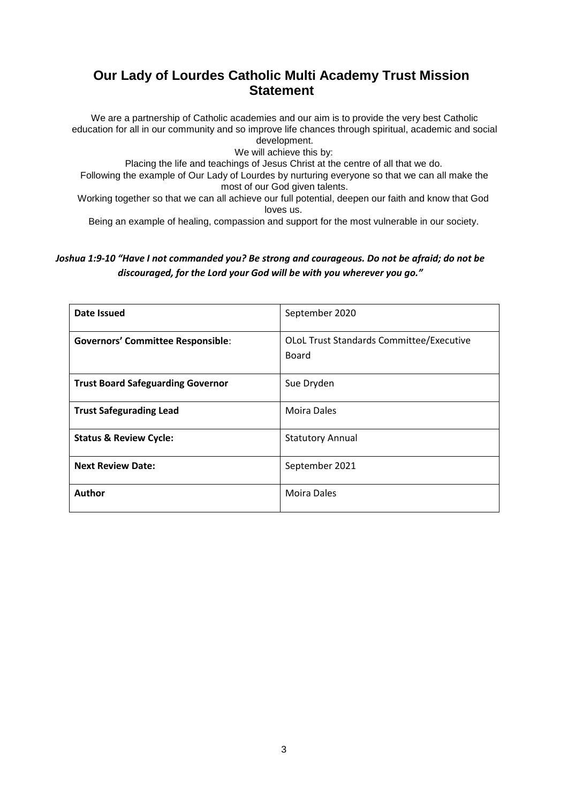# **Our Lady of Lourdes Catholic Multi Academy Trust Mission Statement**

We are a partnership of Catholic academies and our aim is to provide the very best Catholic education for all in our community and so improve life chances through spiritual, academic and social development.

We will achieve this by:

Placing the life and teachings of Jesus Christ at the centre of all that we do.

Following the example of Our Lady of Lourdes by nurturing everyone so that we can all make the most of our God given talents.

Working together so that we can all achieve our full potential, deepen our faith and know that God loves us.

Being an example of healing, compassion and support for the most vulnerable in our society.

## *Joshua 1:9-10 "Have I not commanded you? Be strong and courageous. Do not be afraid; do not be discouraged, for the Lord your God will be with you wherever you go."*

| Date Issued                              | September 2020                                           |
|------------------------------------------|----------------------------------------------------------|
| <b>Governors' Committee Responsible:</b> | <b>OLOL Trust Standards Committee/Executive</b><br>Board |
| <b>Trust Board Safeguarding Governor</b> | Sue Dryden                                               |
| <b>Trust Safegurading Lead</b>           | <b>Moira Dales</b>                                       |
| <b>Status &amp; Review Cycle:</b>        | <b>Statutory Annual</b>                                  |
| <b>Next Review Date:</b>                 | September 2021                                           |
| <b>Author</b>                            | <b>Moira Dales</b>                                       |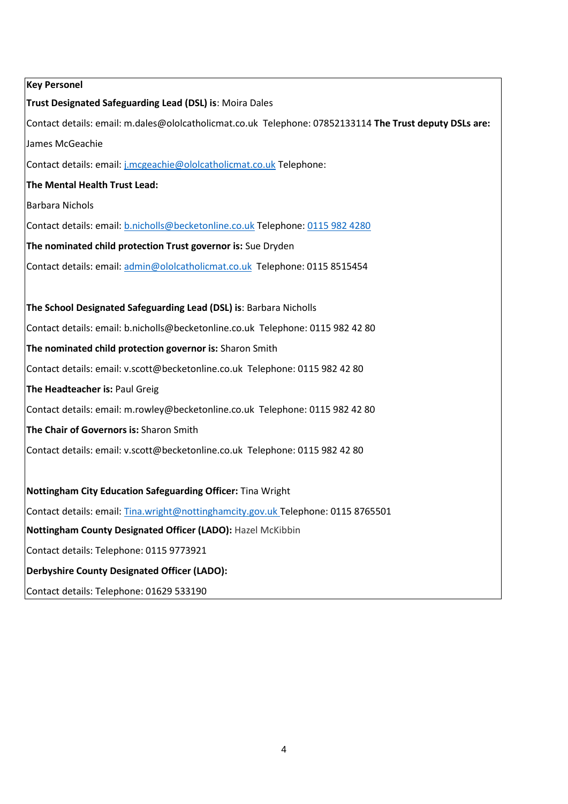| <b>Key Personel</b>                                                                                     |
|---------------------------------------------------------------------------------------------------------|
| Trust Designated Safeguarding Lead (DSL) is: Moira Dales                                                |
| Contact details: email: m.dales@ololcatholicmat.co.uk Telephone: 07852133114 The Trust deputy DSLs are: |
| James McGeachie                                                                                         |
| Contact details: email: j.mcgeachie@ololcatholicmat.co.uk Telephone:                                    |
| The Mental Health Trust Lead:                                                                           |
| <b>Barbara Nichols</b>                                                                                  |
| Contact details: email: b.nicholls@becketonline.co.uk Telephone: 0115 982 4280                          |
| The nominated child protection Trust governor is: Sue Dryden                                            |
| Contact details: email: admin@ololcatholicmat.co.uk Telephone: 0115 8515454                             |
|                                                                                                         |
| The School Designated Safeguarding Lead (DSL) is: Barbara Nicholls                                      |
| Contact details: email: b.nicholls@becketonline.co.uk Telephone: 0115 982 42 80                         |
| The nominated child protection governor is: Sharon Smith                                                |
| Contact details: email: v.scott@becketonline.co.uk Telephone: 0115 982 42 80                            |
| The Headteacher is: Paul Greig                                                                          |
| Contact details: email: m.rowley@becketonline.co.uk Telephone: 0115 982 42 80                           |
| The Chair of Governors is: Sharon Smith                                                                 |
| Contact details: email: v.scott@becketonline.co.uk Telephone: 0115 982 42 80                            |
|                                                                                                         |
| Nottingham City Education Safeguarding Officer: Tina Wright                                             |
| Contact details: email: Tina.wright@nottinghamcity.gov.uk Telephone: 0115 8765501                       |
| Nottingham County Designated Officer (LADO): Hazel McKibbin                                             |
| Contact details: Telephone: 0115 9773921                                                                |
| <b>Derbyshire County Designated Officer (LADO):</b>                                                     |
| Contact details: Telephone: 01629 533190                                                                |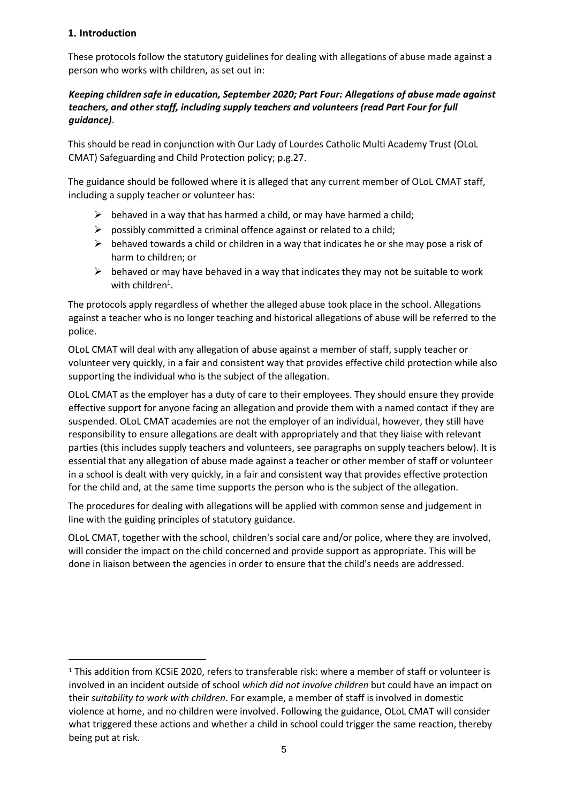# **1. Introduction**

**.** 

These protocols follow the statutory guidelines for dealing with allegations of abuse made against a person who works with children, as set out in:

## *Keeping children safe in education, September 2020; Part Four: Allegations of abuse made against teachers, and other staff, including supply teachers and volunteers (read Part Four for full guidance)*.

This should be read in conjunction with Our Lady of Lourdes Catholic Multi Academy Trust (OLoL CMAT) Safeguarding and Child Protection policy; p.g.27.

The guidance should be followed where it is alleged that any current member of OLoL CMAT staff, including a supply teacher or volunteer has:

- $\triangleright$  behaved in a way that has harmed a child, or may have harmed a child;
- $\triangleright$  possibly committed a criminal offence against or related to a child;
- $\triangleright$  behaved towards a child or children in a way that indicates he or she may pose a risk of harm to children; or
- $\triangleright$  behaved or may have behaved in a way that indicates they may not be suitable to work with children<sup>1</sup>.

The protocols apply regardless of whether the alleged abuse took place in the school. Allegations against a teacher who is no longer teaching and historical allegations of abuse will be referred to the police.

OLoL CMAT will deal with any allegation of abuse against a member of staff, supply teacher or volunteer very quickly, in a fair and consistent way that provides effective child protection while also supporting the individual who is the subject of the allegation.

OLoL CMAT as the employer has a duty of care to their employees. They should ensure they provide effective support for anyone facing an allegation and provide them with a named contact if they are suspended. OLoL CMAT academies are not the employer of an individual, however, they still have responsibility to ensure allegations are dealt with appropriately and that they liaise with relevant parties (this includes supply teachers and volunteers, see paragraphs on supply teachers below). It is essential that any allegation of abuse made against a teacher or other member of staff or volunteer in a school is dealt with very quickly, in a fair and consistent way that provides effective protection for the child and, at the same time supports the person who is the subject of the allegation.

The procedures for dealing with allegations will be applied with common sense and judgement in line with the guiding principles of statutory guidance.

OLoL CMAT, together with the school, children's social care and/or police, where they are involved, will consider the impact on the child concerned and provide support as appropriate. This will be done in liaison between the agencies in order to ensure that the child's needs are addressed.

<sup>1</sup> This addition from KCSiE 2020, refers to transferable risk: where a member of staff or volunteer is involved in an incident outside of school *which did not involve children* but could have an impact on their *suitability to work with children*. For example, a member of staff is involved in domestic violence at home, and no children were involved. Following the guidance, OLoL CMAT will consider what triggered these actions and whether a child in school could trigger the same reaction, thereby being put at risk.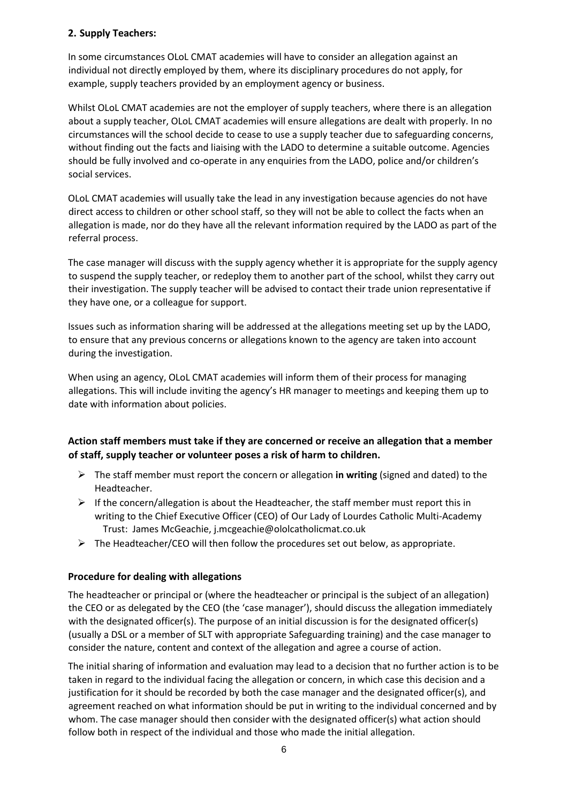# **2. Supply Teachers:**

In some circumstances OLoL CMAT academies will have to consider an allegation against an individual not directly employed by them, where its disciplinary procedures do not apply, for example, supply teachers provided by an employment agency or business.

Whilst OLoL CMAT academies are not the employer of supply teachers, where there is an allegation about a supply teacher, OLoL CMAT academies will ensure allegations are dealt with properly. In no circumstances will the school decide to cease to use a supply teacher due to safeguarding concerns, without finding out the facts and liaising with the LADO to determine a suitable outcome. Agencies should be fully involved and co-operate in any enquiries from the LADO, police and/or children's social services.

OLoL CMAT academies will usually take the lead in any investigation because agencies do not have direct access to children or other school staff, so they will not be able to collect the facts when an allegation is made, nor do they have all the relevant information required by the LADO as part of the referral process.

The case manager will discuss with the supply agency whether it is appropriate for the supply agency to suspend the supply teacher, or redeploy them to another part of the school, whilst they carry out their investigation. The supply teacher will be advised to contact their trade union representative if they have one, or a colleague for support.

Issues such as information sharing will be addressed at the allegations meeting set up by the LADO, to ensure that any previous concerns or allegations known to the agency are taken into account during the investigation.

When using an agency, OLoL CMAT academies will inform them of their process for managing allegations. This will include inviting the agency's HR manager to meetings and keeping them up to date with information about policies.

# **Action staff members must take if they are concerned or receive an allegation that a member of staff, supply teacher or volunteer poses a risk of harm to children.**

- The staff member must report the concern or allegation **in writing** (signed and dated) to the Headteacher.
- $\triangleright$  If the concern/allegation is about the Headteacher, the staff member must report this in writing to the Chief Executive Officer (CEO) of Our Lady of Lourdes Catholic Multi-Academy Trust: James McGeachie, j.mcgeachie@ololcatholicmat.co.uk
- $\triangleright$  The Headteacher/CEO will then follow the procedures set out below, as appropriate.

## **Procedure for dealing with allegations**

The headteacher or principal or (where the headteacher or principal is the subject of an allegation) the CEO or as delegated by the CEO (the 'case manager'), should discuss the allegation immediately with the designated officer(s). The purpose of an initial discussion is for the designated officer(s) (usually a DSL or a member of SLT with appropriate Safeguarding training) and the case manager to consider the nature, content and context of the allegation and agree a course of action.

The initial sharing of information and evaluation may lead to a decision that no further action is to be taken in regard to the individual facing the allegation or concern, in which case this decision and a justification for it should be recorded by both the case manager and the designated officer(s), and agreement reached on what information should be put in writing to the individual concerned and by whom. The case manager should then consider with the designated officer(s) what action should follow both in respect of the individual and those who made the initial allegation.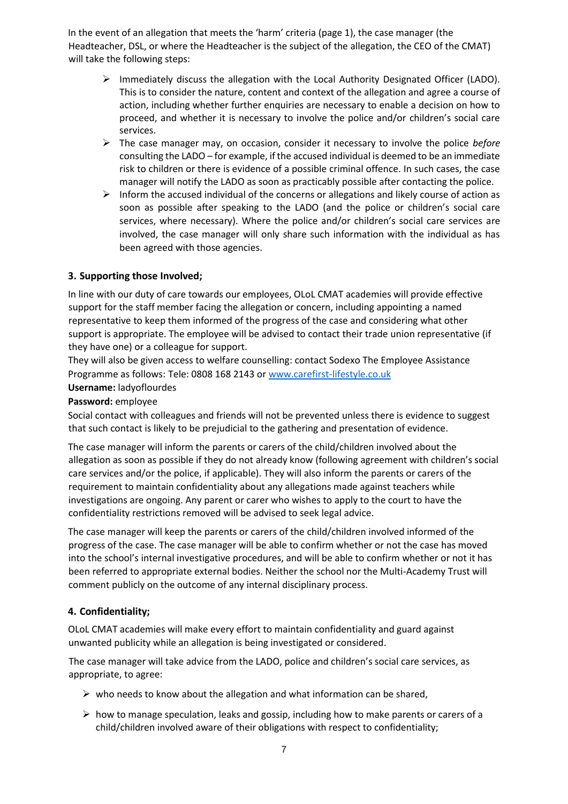In the event of an allegation that meets the 'harm' criteria (page 1), the case manager (the Headteacher, DSL, or where the Headteacher is the subject of the allegation, the CEO of the CMAT) will take the following steps:

- $\triangleright$  Immediately discuss the allegation with the Local Authority Designated Officer (LADO). This is to consider the nature, content and context of the allegation and agree a course of action, including whether further enquiries are necessary to enable a decision on how to proceed, and whether it is necessary to involve the police and/or children's social care services.
- The case manager may, on occasion, consider it necessary to involve the police *before* consulting the LADO – for example, if the accused individual is deemed to be an immediate risk to children or there is evidence of a possible criminal offence. In such cases, the case manager will notify the LADO as soon as practicably possible after contacting the police.
- $\triangleright$  Inform the accused individual of the concerns or allegations and likely course of action as soon as possible after speaking to the LADO (and the police or children's social care services, where necessary). Where the police and/or children's social care services are involved, the case manager will only share such information with the individual as has been agreed with those agencies.

# **3. Supporting those Involved;**

In line with our duty of care towards our employees, OLoL CMAT academies will provide effective support for the staff member facing the allegation or concern, including appointing a named representative to keep them informed of the progress of the case and considering what other support is appropriate. The employee will be advised to contact their trade union representative (if they have one) or a colleague for support.

They will also be given access to welfare counselling: contact Sodexo The Employee Assistance Programme as follows: Tele: 0808 168 2143 or [www.carefirst-lifestyle.co.uk](http://www.carefirst-lifestyle.co.uk/)

#### **Username:** ladyoflourdes

#### **Password:** employee

Social contact with colleagues and friends will not be prevented unless there is evidence to suggest that such contact is likely to be prejudicial to the gathering and presentation of evidence.

The case manager will inform the parents or carers of the child/children involved about the allegation as soon as possible if they do not already know (following agreement with children's social care services and/or the police, if applicable). They will also inform the parents or carers of the requirement to maintain confidentiality about any allegations made against teachers while investigations are ongoing. Any parent or carer who wishes to apply to the court to have the confidentiality restrictions removed will be advised to seek legal advice.

The case manager will keep the parents or carers of the child/children involved informed of the progress of the case. The case manager will be able to confirm whether or not the case has moved into the school's internal investigative procedures, and will be able to confirm whether or not it has been referred to appropriate external bodies. Neither the school nor the Multi-Academy Trust will comment publicly on the outcome of any internal disciplinary process.

## **4. Confidentiality;**

OLoL CMAT academies will make every effort to maintain confidentiality and guard against unwanted publicity while an allegation is being investigated or considered.

The case manager will take advice from the LADO, police and children's social care services, as appropriate, to agree:

- $\triangleright$  who needs to know about the allegation and what information can be shared,
- $\triangleright$  how to manage speculation, leaks and gossip, including how to make parents or carers of a child/children involved aware of their obligations with respect to confidentiality;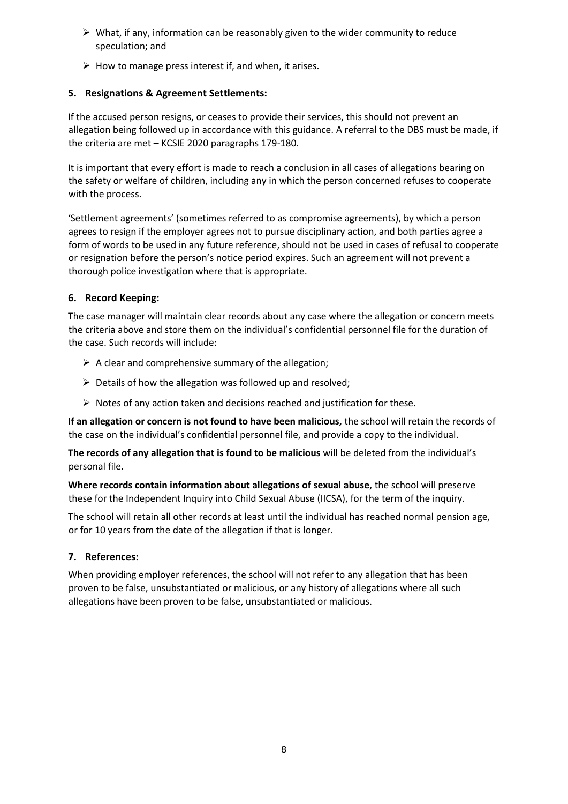- $\triangleright$  What, if any, information can be reasonably given to the wider community to reduce speculation; and
- $\triangleright$  How to manage press interest if, and when, it arises.

# **5. Resignations & Agreement Settlements:**

If the accused person resigns, or ceases to provide their services, this should not prevent an allegation being followed up in accordance with this guidance. A referral to the DBS must be made, if the criteria are met – KCSIE 2020 paragraphs 179-180.

It is important that every effort is made to reach a conclusion in all cases of allegations bearing on the safety or welfare of children, including any in which the person concerned refuses to cooperate with the process.

'Settlement agreements' (sometimes referred to as compromise agreements), by which a person agrees to resign if the employer agrees not to pursue disciplinary action, and both parties agree a form of words to be used in any future reference, should not be used in cases of refusal to cooperate or resignation before the person's notice period expires. Such an agreement will not prevent a thorough police investigation where that is appropriate.

# **6. Record Keeping:**

The case manager will maintain clear records about any case where the allegation or concern meets the criteria above and store them on the individual's confidential personnel file for the duration of the case. Such records will include:

- $\triangleright$  A clear and comprehensive summary of the allegation;
- $\triangleright$  Details of how the allegation was followed up and resolved;
- $\triangleright$  Notes of any action taken and decisions reached and justification for these.

**If an allegation or concern is not found to have been malicious,** the school will retain the records of the case on the individual's confidential personnel file, and provide a copy to the individual.

**The records of any allegation that is found to be malicious** will be deleted from the individual's personal file.

**Where records contain information about allegations of sexual abuse**, the school will preserve these for the Independent Inquiry into Child Sexual Abuse (IICSA), for the term of the inquiry.

The school will retain all other records at least until the individual has reached normal pension age, or for 10 years from the date of the allegation if that is longer.

## **7. References:**

When providing employer references, the school will not refer to any allegation that has been proven to be false, unsubstantiated or malicious, or any history of allegations where all such allegations have been proven to be false, unsubstantiated or malicious.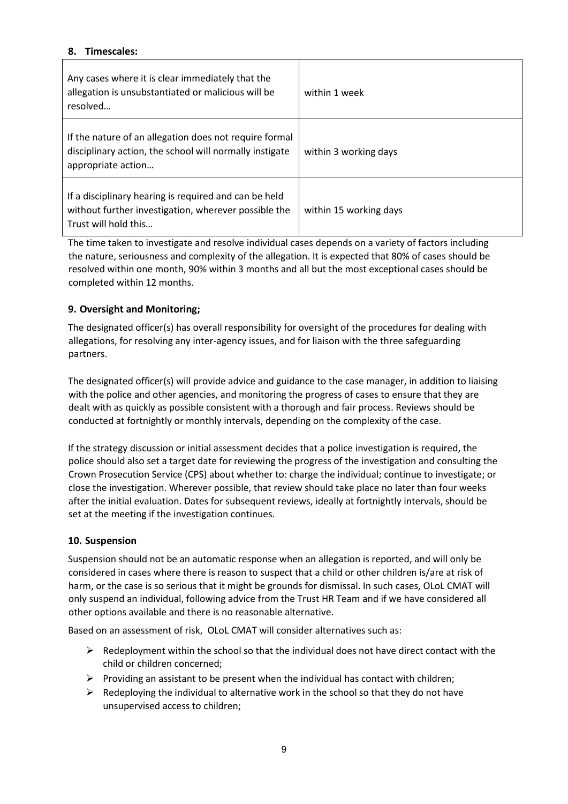# **8. Timescales:**

| Any cases where it is clear immediately that the<br>allegation is unsubstantiated or malicious will be<br>resolved                      | within 1 week          |
|-----------------------------------------------------------------------------------------------------------------------------------------|------------------------|
| If the nature of an allegation does not require formal<br>disciplinary action, the school will normally instigate<br>appropriate action | within 3 working days  |
| If a disciplinary hearing is required and can be held<br>without further investigation, wherever possible the<br>Trust will hold this   | within 15 working days |

The time taken to investigate and resolve individual cases depends on a variety of factors including the nature, seriousness and complexity of the allegation. It is expected that 80% of cases should be resolved within one month, 90% within 3 months and all but the most exceptional cases should be completed within 12 months.

## **9. Oversight and Monitoring;**

The designated officer(s) has overall responsibility for oversight of the procedures for dealing with allegations, for resolving any inter-agency issues, and for liaison with the three safeguarding partners.

The designated officer(s) will provide advice and guidance to the case manager, in addition to liaising with the police and other agencies, and monitoring the progress of cases to ensure that they are dealt with as quickly as possible consistent with a thorough and fair process. Reviews should be conducted at fortnightly or monthly intervals, depending on the complexity of the case.

If the strategy discussion or initial assessment decides that a police investigation is required, the police should also set a target date for reviewing the progress of the investigation and consulting the Crown Prosecution Service (CPS) about whether to: charge the individual; continue to investigate; or close the investigation. Wherever possible, that review should take place no later than four weeks after the initial evaluation. Dates for subsequent reviews, ideally at fortnightly intervals, should be set at the meeting if the investigation continues.

## **10. Suspension**

Suspension should not be an automatic response when an allegation is reported, and will only be considered in cases where there is reason to suspect that a child or other children is/are at risk of harm, or the case is so serious that it might be grounds for dismissal. In such cases, OLoL CMAT will only suspend an individual, following advice from the Trust HR Team and if we have considered all other options available and there is no reasonable alternative.

Based on an assessment of risk, OLoL CMAT will consider alternatives such as:

- $\triangleright$  Redeployment within the school so that the individual does not have direct contact with the child or children concerned;
- $\triangleright$  Providing an assistant to be present when the individual has contact with children;
- $\triangleright$  Redeploying the individual to alternative work in the school so that they do not have unsupervised access to children;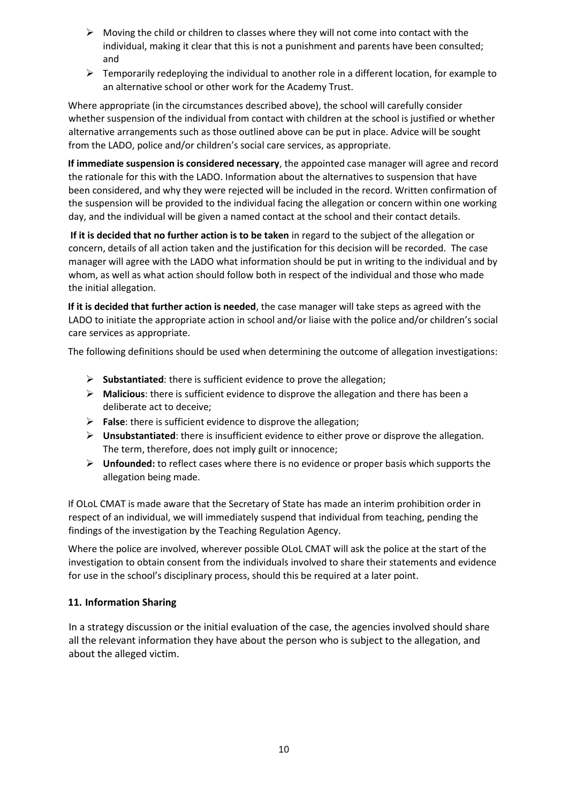- $\triangleright$  Moving the child or children to classes where they will not come into contact with the individual, making it clear that this is not a punishment and parents have been consulted; and
- $\triangleright$  Temporarily redeploying the individual to another role in a different location, for example to an alternative school or other work for the Academy Trust.

Where appropriate (in the circumstances described above), the school will carefully consider whether suspension of the individual from contact with children at the school is justified or whether alternative arrangements such as those outlined above can be put in place. Advice will be sought from the LADO, police and/or children's social care services, as appropriate.

**If immediate suspension is considered necessary**, the appointed case manager will agree and record the rationale for this with the LADO. Information about the alternatives to suspension that have been considered, and why they were rejected will be included in the record. Written confirmation of the suspension will be provided to the individual facing the allegation or concern within one working day, and the individual will be given a named contact at the school and their contact details.

**If it is decided that no further action is to be taken** in regard to the subject of the allegation or concern, details of all action taken and the justification for this decision will be recorded. The case manager will agree with the LADO what information should be put in writing to the individual and by whom, as well as what action should follow both in respect of the individual and those who made the initial allegation.

**If it is decided that further action is needed**, the case manager will take steps as agreed with the LADO to initiate the appropriate action in school and/or liaise with the police and/or children's social care services as appropriate.

The following definitions should be used when determining the outcome of allegation investigations:

- **Substantiated**: there is sufficient evidence to prove the allegation;
- **Malicious**: there is sufficient evidence to disprove the allegation and there has been a deliberate act to deceive;
- **False**: there is sufficient evidence to disprove the allegation;
- **Unsubstantiated**: there is insufficient evidence to either prove or disprove the allegation. The term, therefore, does not imply guilt or innocence;
- **Unfounded:** to reflect cases where there is no evidence or proper basis which supports the allegation being made.

If OLoL CMAT is made aware that the Secretary of State has made an interim prohibition order in respect of an individual, we will immediately suspend that individual from teaching, pending the findings of the investigation by the Teaching Regulation Agency.

Where the police are involved, wherever possible OLoL CMAT will ask the police at the start of the investigation to obtain consent from the individuals involved to share their statements and evidence for use in the school's disciplinary process, should this be required at a later point.

# **11. Information Sharing**

In a strategy discussion or the initial evaluation of the case, the agencies involved should share all the relevant information they have about the person who is subject to the allegation, and about the alleged victim.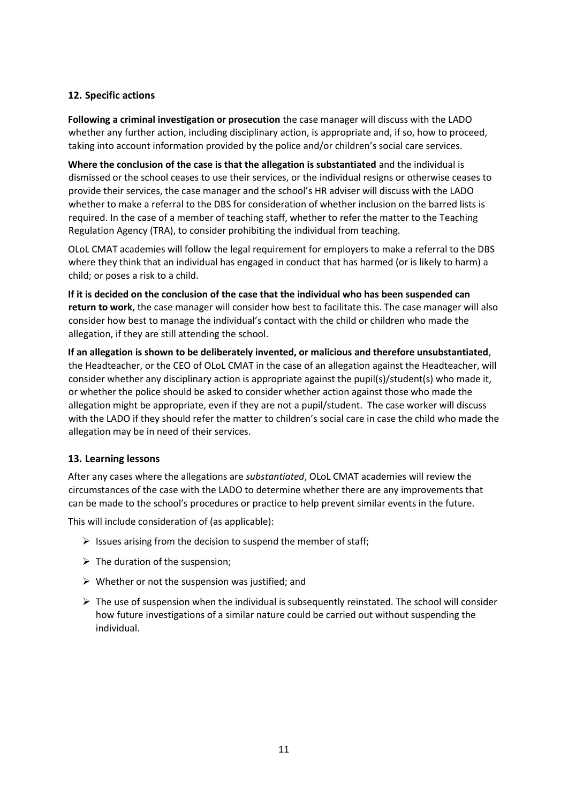# **12. Specific actions**

**Following a criminal investigation or prosecution** the case manager will discuss with the LADO whether any further action, including disciplinary action, is appropriate and, if so, how to proceed, taking into account information provided by the police and/or children's social care services.

**Where the conclusion of the case is that the allegation is substantiated** and the individual is dismissed or the school ceases to use their services, or the individual resigns or otherwise ceases to provide their services, the case manager and the school's HR adviser will discuss with the LADO whether to make a referral to the DBS for consideration of whether inclusion on the barred lists is required. In the case of a member of teaching staff, whether to refer the matter to the Teaching Regulation Agency (TRA), to consider prohibiting the individual from teaching.

OLoL CMAT academies will follow the legal requirement for employers to make a referral to the DBS where they think that an individual has engaged in conduct that has harmed (or is likely to harm) a child; or poses a risk to a child.

**If it is decided on the conclusion of the case that the individual who has been suspended can return to work**, the case manager will consider how best to facilitate this. The case manager will also consider how best to manage the individual's contact with the child or children who made the allegation, if they are still attending the school.

**If an allegation is shown to be deliberately invented, or malicious and therefore unsubstantiated**, the Headteacher, or the CEO of OLoL CMAT in the case of an allegation against the Headteacher, will consider whether any disciplinary action is appropriate against the pupil(s)/student(s) who made it, or whether the police should be asked to consider whether action against those who made the allegation might be appropriate, even if they are not a pupil/student. The case worker will discuss with the LADO if they should refer the matter to children's social care in case the child who made the allegation may be in need of their services.

## **13. Learning lessons**

After any cases where the allegations are *substantiated*, OLoL CMAT academies will review the circumstances of the case with the LADO to determine whether there are any improvements that can be made to the school's procedures or practice to help prevent similar events in the future.

This will include consideration of (as applicable):

- $\triangleright$  Issues arising from the decision to suspend the member of staff:
- $\triangleright$  The duration of the suspension;
- $\triangleright$  Whether or not the suspension was justified; and
- $\triangleright$  The use of suspension when the individual is subsequently reinstated. The school will consider how future investigations of a similar nature could be carried out without suspending the individual.